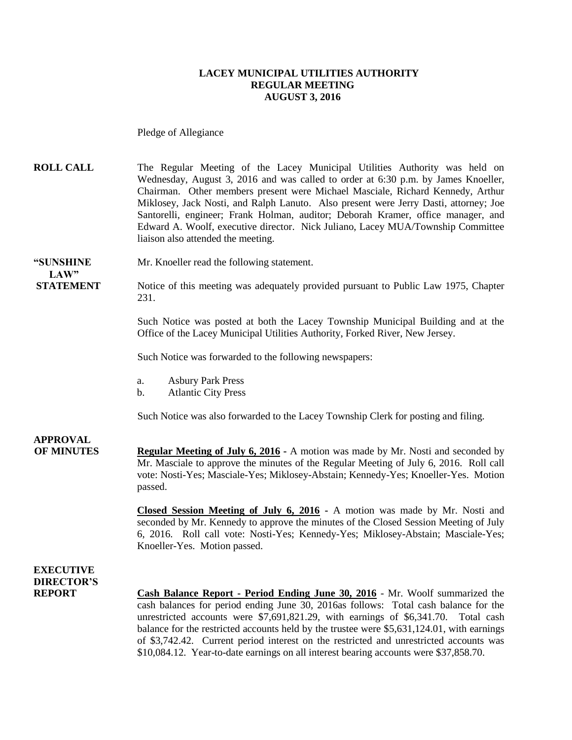### **LACEY MUNICIPAL UTILITIES AUTHORITY REGULAR MEETING AUGUST 3, 2016**

Pledge of Allegiance

**ROLL CALL** The Regular Meeting of the Lacey Municipal Utilities Authority was held on Wednesday, August 3, 2016 and was called to order at 6:30 p.m. by James Knoeller, Chairman. Other members present were Michael Masciale, Richard Kennedy, Arthur Miklosey, Jack Nosti, and Ralph Lanuto. Also present were Jerry Dasti, attorney; Joe Santorelli, engineer; Frank Holman, auditor; Deborah Kramer, office manager, and Edward A. Woolf, executive director. Nick Juliano, Lacey MUA/Township Committee liaison also attended the meeting.

**"SUNSHINE** Mr. Knoeller read the following statement. **LAW"** 

**STATEMENT** Notice of this meeting was adequately provided pursuant to Public Law 1975, Chapter 231.

> Such Notice was posted at both the Lacey Township Municipal Building and at the Office of the Lacey Municipal Utilities Authority, Forked River, New Jersey.

Such Notice was forwarded to the following newspapers:

- a. Asbury Park Press
- b. Atlantic City Press

Such Notice was also forwarded to the Lacey Township Clerk for posting and filing.

**APPROVAL**

**OF MINUTES Regular Meeting of July 6, 2016 -** A motion was made by Mr. Nosti and seconded by Mr. Masciale to approve the minutes of the Regular Meeting of July 6, 2016. Roll call vote: Nosti-Yes; Masciale-Yes; Miklosey-Abstain; Kennedy-Yes; Knoeller-Yes. Motion passed.

> **Closed Session Meeting of July 6, 2016 -** A motion was made by Mr. Nosti and seconded by Mr. Kennedy to approve the minutes of the Closed Session Meeting of July 6, 2016. Roll call vote: Nosti-Yes; Kennedy-Yes; Miklosey-Abstain; Masciale-Yes; Knoeller-Yes. Motion passed.

### **EXECUTIVE DIRECTOR'S**

**REPORT Cash Balance Report - Period Ending June 30, 2016** - Mr. Woolf summarized the cash balances for period ending June 30, 2016as follows: Total cash balance for the unrestricted accounts were \$7,691,821.29, with earnings of \$6,341.70. Total cash balance for the restricted accounts held by the trustee were \$5,631,124.01, with earnings of \$3,742.42. Current period interest on the restricted and unrestricted accounts was \$10,084.12. Year-to-date earnings on all interest bearing accounts were \$37,858.70.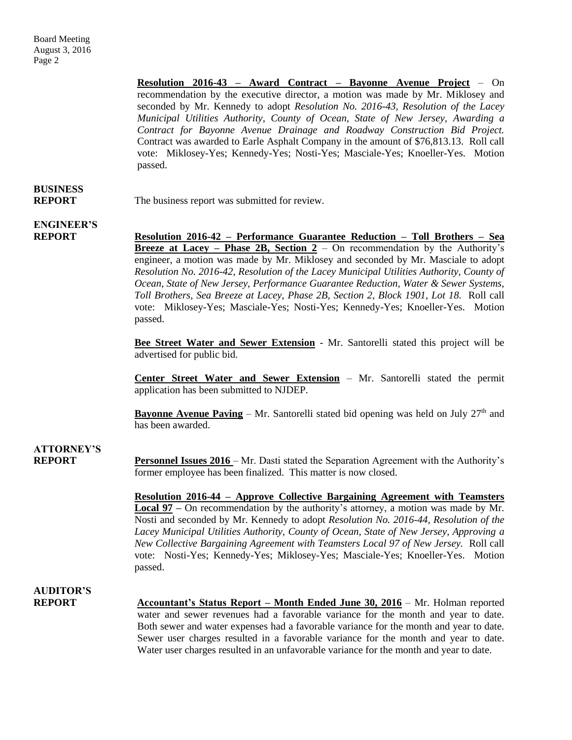**Resolution 2016-43 – Award Contract – Bayonne Avenue Project** – On recommendation by the executive director, a motion was made by Mr. Miklosey and seconded by Mr. Kennedy to adopt *Resolution No. 2016-43, Resolution of the Lacey Municipal Utilities Authority, County of Ocean, State of New Jersey, Awarding a Contract for Bayonne Avenue Drainage and Roadway Construction Bid Project.*  Contract was awarded to Earle Asphalt Company in the amount of \$76,813.13. Roll call vote: Miklosey-Yes; Kennedy-Yes; Nosti-Yes; Masciale-Yes; Knoeller-Yes. Motion passed.

## **BUSINESS**

**REPORT** The business report was submitted for review.

## **ENGINEER'S**

**REPORT Resolution 2016-42 – Performance Guarantee Reduction – Toll Brothers – Sea Breeze at Lacey – Phase 2B, Section 2** – On recommendation by the Authority's engineer, a motion was made by Mr. Miklosey and seconded by Mr. Masciale to adopt *Resolution No. 2016-42, Resolution of the Lacey Municipal Utilities Authority, County of Ocean, State of New Jersey, Performance Guarantee Reduction, Water & Sewer Systems, Toll Brothers, Sea Breeze at Lacey, Phase 2B, Section 2, Block 1901, Lot 18.* Roll call vote: Miklosey-Yes; Masciale-Yes; Nosti-Yes; Kennedy-Yes; Knoeller-Yes. Motion passed.

> **Bee Street Water and Sewer Extension** - Mr. Santorelli stated this project will be advertised for public bid.

> **Center Street Water and Sewer Extension** – Mr. Santorelli stated the permit application has been submitted to NJDEP.

> **Bayonne Avenue Paving** – Mr. Santorelli stated bid opening was held on July  $27<sup>th</sup>$  and has been awarded.

## **ATTORNEY'S**

**REPORT Personnel Issues 2016** – Mr. Dasti stated the Separation Agreement with the Authority's former employee has been finalized. This matter is now closed.

> **Resolution 2016-44 – Approve Collective Bargaining Agreement with Teamsters Local 97 –** On recommendation by the authority's attorney, a motion was made by Mr. Nosti and seconded by Mr. Kennedy to adopt *Resolution No. 2016-44, Resolution of the Lacey Municipal Utilities Authority, County of Ocean, State of New Jersey, Approving a New Collective Bargaining Agreement with Teamsters Local 97 of New Jersey.* Roll call vote: Nosti-Yes; Kennedy-Yes; Miklosey-Yes; Masciale-Yes; Knoeller-Yes. Motion passed.

## **AUDITOR'S**

**REPORT** Accountant's Status Report – Month Ended June 30, 2016 – Mr. Holman reported water and sewer revenues had a favorable variance for the month and year to date. Both sewer and water expenses had a favorable variance for the month and year to date. Sewer user charges resulted in a favorable variance for the month and year to date. Water user charges resulted in an unfavorable variance for the month and year to date.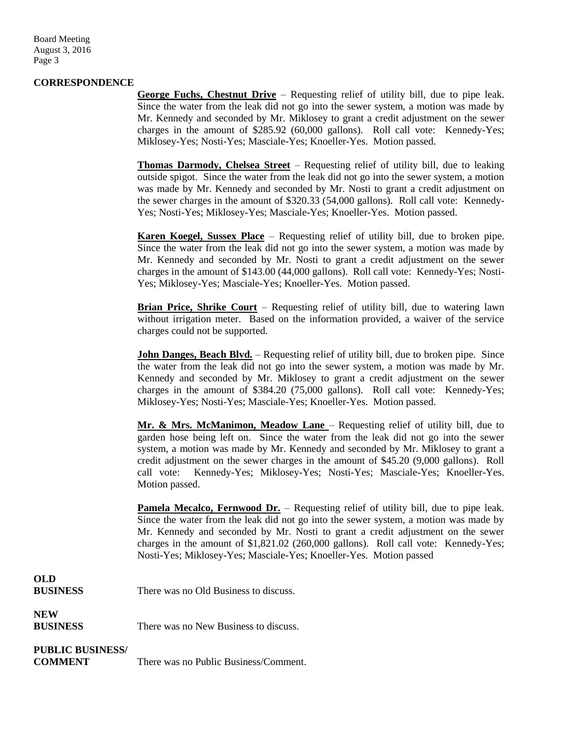Board Meeting August 3, 2016 Page 3

### **CORRESPONDENCE**

**George Fuchs, Chestnut Drive** – Requesting relief of utility bill, due to pipe leak. Since the water from the leak did not go into the sewer system, a motion was made by Mr. Kennedy and seconded by Mr. Miklosey to grant a credit adjustment on the sewer charges in the amount of \$285.92 (60,000 gallons). Roll call vote: Kennedy-Yes; Miklosey-Yes; Nosti-Yes; Masciale-Yes; Knoeller-Yes. Motion passed.

**Thomas Darmody, Chelsea Street** – Requesting relief of utility bill, due to leaking outside spigot. Since the water from the leak did not go into the sewer system, a motion was made by Mr. Kennedy and seconded by Mr. Nosti to grant a credit adjustment on the sewer charges in the amount of \$320.33 (54,000 gallons). Roll call vote: Kennedy-Yes; Nosti-Yes; Miklosey-Yes; Masciale-Yes; Knoeller-Yes. Motion passed.

**Karen Koegel, Sussex Place** – Requesting relief of utility bill, due to broken pipe. Since the water from the leak did not go into the sewer system, a motion was made by Mr. Kennedy and seconded by Mr. Nosti to grant a credit adjustment on the sewer charges in the amount of \$143.00 (44,000 gallons). Roll call vote: Kennedy-Yes; Nosti-Yes; Miklosey-Yes; Masciale-Yes; Knoeller-Yes. Motion passed.

**Brian Price, Shrike Court** – Requesting relief of utility bill, due to watering lawn without irrigation meter. Based on the information provided, a waiver of the service charges could not be supported.

**John Danges, Beach Blvd.** – Requesting relief of utility bill, due to broken pipe. Since the water from the leak did not go into the sewer system, a motion was made by Mr. Kennedy and seconded by Mr. Miklosey to grant a credit adjustment on the sewer charges in the amount of \$384.20 (75,000 gallons). Roll call vote: Kennedy-Yes; Miklosey-Yes; Nosti-Yes; Masciale-Yes; Knoeller-Yes. Motion passed.

**Mr. & Mrs. McManimon, Meadow Lane** – Requesting relief of utility bill, due to garden hose being left on. Since the water from the leak did not go into the sewer system, a motion was made by Mr. Kennedy and seconded by Mr. Miklosey to grant a credit adjustment on the sewer charges in the amount of \$45.20 (9,000 gallons). Roll call vote: Kennedy-Yes; Miklosey-Yes; Nosti-Yes; Masciale-Yes; Knoeller-Yes. Motion passed.

Pamela Mecalco, Fernwood Dr. - Requesting relief of utility bill, due to pipe leak. Since the water from the leak did not go into the sewer system, a motion was made by Mr. Kennedy and seconded by Mr. Nosti to grant a credit adjustment on the sewer charges in the amount of \$1,821.02 (260,000 gallons). Roll call vote: Kennedy-Yes; Nosti-Yes; Miklosey-Yes; Masciale-Yes; Knoeller-Yes. Motion passed

## **OLD**

| <b>BUSINESS</b> | There was no Old Business to discuss. |  |
|-----------------|---------------------------------------|--|
|                 |                                       |  |

### **NEW**

**BUSINESS** There was no New Business to discuss.

### **PUBLIC BUSINESS/**

**COMMENT** There was no Public Business/Comment.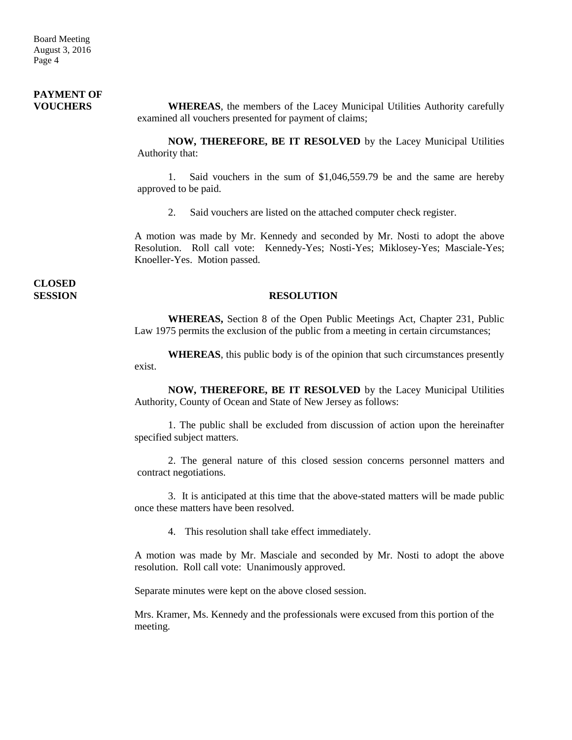#### **PAYMENT OF VOUCHERS WHEREAS**, the members of the Lacey Municipal Utilities Authority carefully examined all vouchers presented for payment of claims;

**NOW, THEREFORE, BE IT RESOLVED** by the Lacey Municipal Utilities Authority that:

1. Said vouchers in the sum of \$1,046,559.79 be and the same are hereby approved to be paid.

2. Said vouchers are listed on the attached computer check register.

A motion was made by Mr. Kennedy and seconded by Mr. Nosti to adopt the above Resolution. Roll call vote: Kennedy-Yes; Nosti-Yes; Miklosey-Yes; Masciale-Yes; Knoeller-Yes. Motion passed.

**CLOSED** 

#### **SESSION RESOLUTION**

**WHEREAS,** Section 8 of the Open Public Meetings Act, Chapter 231, Public Law 1975 permits the exclusion of the public from a meeting in certain circumstances;

**WHEREAS**, this public body is of the opinion that such circumstances presently exist.

**NOW, THEREFORE, BE IT RESOLVED** by the Lacey Municipal Utilities Authority, County of Ocean and State of New Jersey as follows:

1. The public shall be excluded from discussion of action upon the hereinafter specified subject matters.

2. The general nature of this closed session concerns personnel matters and contract negotiations.

3. It is anticipated at this time that the above-stated matters will be made public once these matters have been resolved.

4. This resolution shall take effect immediately.

A motion was made by Mr. Masciale and seconded by Mr. Nosti to adopt the above resolution. Roll call vote: Unanimously approved.

Separate minutes were kept on the above closed session.

Mrs. Kramer, Ms. Kennedy and the professionals were excused from this portion of the meeting.